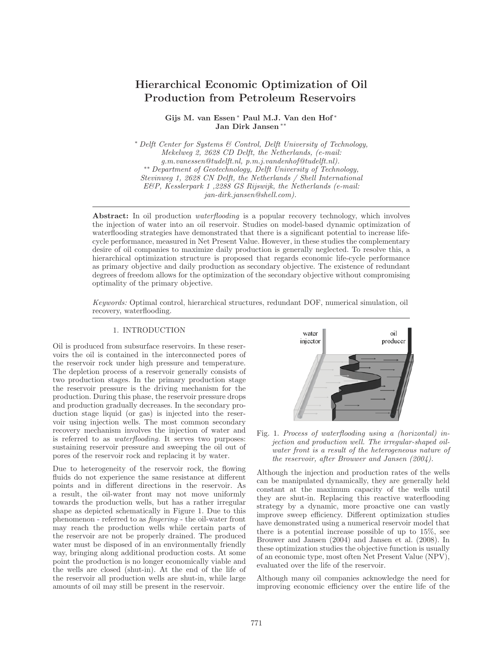# **Hierarchical Economic Optimization of Oil Production from Petroleum Reservoirs**

**Gijs M. van Essen** <sup>∗</sup> **Paul M.J. Van den Hof** <sup>∗</sup> **Jan Dirk Jansen** ∗∗

<sup>∗</sup> Delft Center for Systems & Control, Delft University of Technology, Mekelweg 2, 2628 CD Delft, the Netherlands, (e-mail: g.m.vanessen@tudelft.nl, p.m.j.vandenhof@tudelft.nl). ∗∗ Department of Geotechnology, Delft University of Technology, Stevinweg 1, 2628 CN Delft, the Netherlands / Shell International E&P, Kesslerpark 1 ,2288 GS Rijswijk, the Netherlands (e-mail: jan-dirk.jansen@shell.com).

**Abstract:** In oil production waterflooding is a popular recovery technology, which involves the injection of water into an oil reservoir. Studies on model-based dynamic optimization of waterflooding strategies have demonstrated that there is a significant potential to increase lifecycle performance, measured in Net Present Value. However, in these studies the complementary desire of oil companies to maximize daily production is generally neglected. To resolve this, a hierarchical optimization structure is proposed that regards economic life-cycle performance as primary objective and daily production as secondary objective. The existence of redundant degrees of freedom allows for the optimization of the secondary objective without compromising optimality of the primary objective.

Keywords: Optimal control, hierarchical structures, redundant DOF, numerical simulation, oil recovery, waterflooding.

# 1. INTRODUCTION

Oil is produced from subsurface reservoirs. In these reservoirs the oil is contained in the interconnected pores of the reservoir rock under high pressure and temperature. The depletion process of a reservoir generally consists of two production stages. In the primary production stage the reservoir pressure is the driving mechanism for the production. During this phase, the reservoir pressure drops and production gradually decreases. In the secondary production stage liquid (or gas) is injected into the reservoir using injection wells. The most common secondary recovery mechanism involves the injection of water and is referred to as waterflooding. It serves two purposes: sustaining reservoir pressure and sweeping the oil out of pores of the reservoir rock and replacing it by water.

Due to heterogeneity of the reservoir rock, the flowing fluids do not experience the same resistance at different points and in different directions in the reservoir. As a result, the oil-water front may not move uniformly towards the production wells, but has a rather irregular shape as depicted schematically in Figure 1. Due to this phenomenon - referred to as fingering - the oil-water front may reach the production wells while certain parts of the reservoir are not be properly drained. The produced water must be disposed of in an environmentally friendly way, bringing along additional production costs. At some point the production is no longer economically viable and the wells are closed (shut-in). At the end of the life of the reservoir all production wells are shut-in, while large amounts of oil may still be present in the reservoir.



Fig. 1. Process of waterflooding using a (horizontal) injection and production well. The irregular-shaped oilwater front is a result of the heterogeneous nature of the reservoir, after Brouwer and Jansen (2004).

Although the injection and production rates of the wells can be manipulated dynamically, they are generally held constant at the maximum capacity of the wells until they are shut-in. Replacing this reactive waterflooding strategy by a dynamic, more proactive one can vastly improve sweep efficiency. Different optimization studies have demonstrated using a numerical reservoir model that there is a potential increase possible of up to 15%, see Brouwer and Jansen (2004) and Jansen et al. (2008). In these optimization studies the objective function is usually of an economic type, most often Net Present Value (NPV), evaluated over the life of the reservoir.

Although many oil companies acknowledge the need for improving economic efficiency over the entire life of the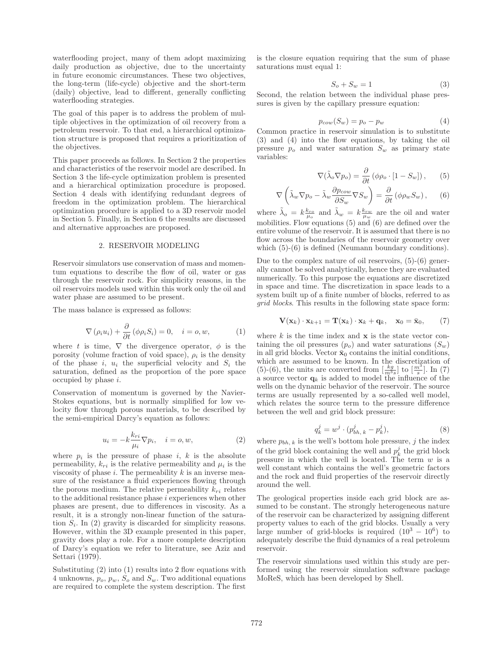waterflooding project, many of them adopt maximizing daily production as objective, due to the uncertainty in future economic circumstances. These two objectives, the long-term (life-cycle) objective and the short-term (daily) objective, lead to different, generally conflicting waterflooding strategies.

The goal of this paper is to address the problem of multiple objectives in the optimization of oil recovery from a petroleum reservoir. To that end, a hierarchical optimization structure is proposed that requires a prioritization of the objectives.

This paper proceeds as follows. In Section 2 the properties and characteristics of the reservoir model are described. In Section 3 the life-cycle optimization problem is presented and a hierarchical optimization procedure is proposed. Section 4 deals with identifying redundant degrees of freedom in the optimization problem. The hierarchical optimization procedure is applied to a 3D reservoir model in Section 5. Finally, in Section 6 the results are discussed and alternative approaches are proposed.

#### 2. RESERVOIR MODELING

Reservoir simulators use conservation of mass and momentum equations to describe the flow of oil, water or gas through the reservoir rock. For simplicity reasons, in the oil reservoirs models used within this work only the oil and water phase are assumed to be present.

The mass balance is expressed as follows:

$$
\nabla (\rho_i u_i) + \frac{\partial}{\partial t} (\phi \rho_i S_i) = 0, \quad i = o, w,
$$
 (1)

where t is time,  $\nabla$  the divergence operator,  $\phi$  is the porosity (volume fraction of void space),  $\rho_i$  is the density of the phase i,  $u_i$  the superficial velocity and  $S_i$  the saturation, defined as the proportion of the pore space occupied by phase i.

Conservation of momentum is governed by the Navier-Stokes equations, but is normally simplified for low velocity flow through porous materials, to be described by the semi-empirical Darcy's equation as follows:

$$
u_i = -k \frac{k_{ri}}{\mu_i} \nabla p_i, \quad i = o, w,
$$
\n(2)

where  $p_i$  is the pressure of phase i, k is the absolute permeability,  $k_{ri}$  is the relative permeability and  $\mu_i$  is the viscosity of phase  $i$ . The permeability  $k$  is an inverse measure of the resistance a fluid experiences flowing through the porous medium. The relative permeability  $k_{ri}$  relates to the additional resistance phase  $i$  experiences when other phases are present, due to differences in viscosity. As a result, it is a strongly non-linear function of the saturation  $S_i$ . In (2) gravity is discarded for simplicity reasons. However, within the 3D example presented in this paper, gravity does play a role. For a more complete description of Darcy's equation we refer to literature, see Aziz and Settari (1979).

Substituting  $(2)$  into  $(1)$  results into 2 flow equations with 4 unknowns,  $p_o$ ,  $p_w$ ,  $S_o$  and  $S_w$ . Two additional equations are required to complete the system description. The first

is the closure equation requiring that the sum of phase saturations must equal 1:

$$
S_o + S_w = 1\tag{3}
$$

Second, the relation between the individual phase pressures is given by the capillary pressure equation:

$$
p_{cow}(S_w) = p_o - p_w \tag{4}
$$

Common practice in reservoir simulation is to substitute (3) and (4) into the flow equations, by taking the oil pressure  $p<sub>o</sub>$  and water saturation  $S<sub>w</sub>$  as primary state variables:

$$
\nabla(\tilde{\lambda}_o \nabla p_o) = \frac{\partial}{\partial t} (\phi \rho_o \cdot [1 - S_w]), \qquad (5)
$$

$$
\nabla \left( \tilde{\lambda}_w \nabla p_o - \tilde{\lambda}_w \frac{\partial p_{cow}}{\partial S_w} \nabla S_w \right) = \frac{\partial}{\partial t} \left( \phi \rho_w S_w \right), \quad (6)
$$

where  $\tilde{\lambda}_o = k \frac{k_{ro}}{\mu_o}$  and  $\tilde{\lambda}_w = k \frac{k_{rw}}{\mu_w}$  are the oil and water mobilities. Flow equations (5) and (6) are defined over the entire volume of the reservoir. It is assumed that there is no flow across the boundaries of the reservoir geometry over which  $(5)-(6)$  is defined (Neumann boundary conditions).

Due to the complex nature of oil reservoirs, (5)-(6) generally cannot be solved analytically, hence they are evaluated numerically. To this purpose the equations are discretized in space and time. The discretization in space leads to a system built up of a finite number of blocks, referred to as grid blocks. This results in the following state space form:

$$
\mathbf{V}(\mathbf{x}_k) \cdot \mathbf{x}_{k+1} = \mathbf{T}(\mathbf{x}_k) \cdot \mathbf{x}_k + \mathbf{q}_k, \quad \mathbf{x}_0 = \bar{\mathbf{x}}_0,\tag{7}
$$

where  $k$  is the time index and  $x$  is the state vector containing the oil pressures  $(p_o)$  and water saturations  $(S_w)$ in all grid blocks. Vector  $\bar{\mathbf{x}}_0$  contains the initial conditions, which are assumed to be known. In the discretization of (5)-(6), the units are converted from  $\left[\frac{kg}{m^3s}\right]$  to  $\left[\frac{m^3}{s}\right]$ . In (7) a source vector  $q_k$  is added to model the influence of the wells on the dynamic behavior of the reservoir. The source terms are usually represented by a so-called well model, which relates the source term to the pressure difference between the well and grid block pressure:

$$
q_k^j = w^j \cdot (p_{bh, k}^j - p_k^j), \tag{8}
$$

where  $p_{bh, k}$  is the well's bottom hole pressure, j the index of the grid block containing the well and  $p_k^j$  the grid block pressure in which the well is located. The term  $w$  is a well constant which contains the well's geometric factors and the rock and fluid properties of the reservoir directly around the well.

The geological properties inside each grid block are assumed to be constant. The strongly heterogeneous nature of the reservoir can be characterized by assigning different property values to each of the grid blocks. Usually a very large number of grid-blocks is required  $(10^3 - 10^6)$  to adequately describe the fluid dynamics of a real petroleum reservoir.

The reservoir simulations used within this study are performed using the reservoir simulation software package MoReS, which has been developed by Shell.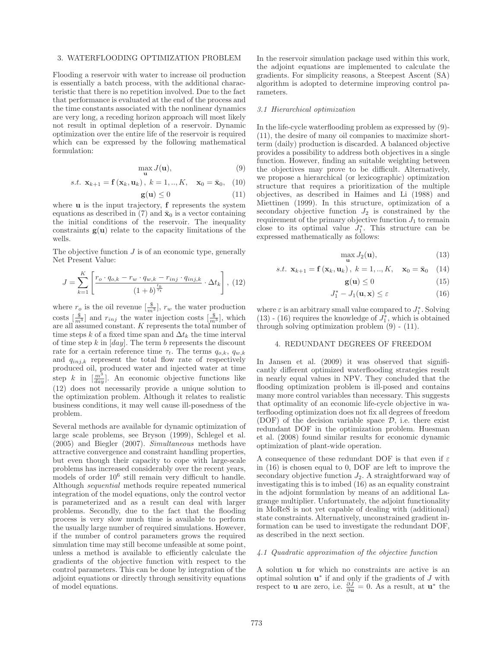## 3. WATERFLOODING OPTIMIZATION PROBLEM

Flooding a reservoir with water to increase oil production is essentially a batch process, with the additional characteristic that there is no repetition involved. Due to the fact that performance is evaluated at the end of the process and the time constants associated with the nonlinear dynamics are very long, a receding horizon approach will most likely not result in optimal depletion of a reservoir. Dynamic optimization over the entire life of the reservoir is required which can be expressed by the following mathematical formulation:

$$
\max_{\mathbf{u}} J(\mathbf{u}),\tag{9}
$$

s.t. 
$$
\mathbf{x}_{k+1} = \mathbf{f}(\mathbf{x}_k, \mathbf{u}_k), k = 1, ..., K, \mathbf{x}_0 = \bar{\mathbf{x}}_0, (10)
$$

$$
\mathbf{g}(\mathbf{u}) \le 0 \tag{11}
$$

where **u** is the input trajectory, **f** represents the system equations as described in (7) and  $\bar{\mathbf{x}}_0$  is a vector containing the initial conditions of the reservoir. The inequality constraints  $g(u)$  relate to the capacity limitations of the wells.

The objective function  $J$  is of an economic type, generally Net Present Value:

$$
J = \sum_{k=1}^{K} \left[ \frac{r_o \cdot q_{o,k} - r_w \cdot q_{w,k} - r_{inj} \cdot q_{inj,k}}{(1+b)^{\frac{t_k}{\tau_t}}} \cdot \Delta t_k \right], (12)
$$

where  $r_o$  is the oil revenue  $\left[\frac{\$}{m^3}\right]$ ,  $r_w$  the water production costs  $\left[\frac{\$}{m^3}\right]$  and  $r_{inj}$  the water injection costs  $\left[\frac{\$}{m^3}\right]$ , which are all assumed constant. K represents the total number of time steps k of a fixed time span and  $\Delta t_k$  the time interval of time step  $k$  in  $\left[day\right]$ . The term  $b$  represents the discount rate for a certain reference time  $\tau_t$ . The terms  $q_{o,k}$ ,  $q_{w,k}$ and  $q_{inj,k}$  represent the total flow rate of respectively produced oil, produced water and injected water at time step k in  $\left[\frac{m^3}{day}\right]$ . An economic objective functions like (12) does not necessarily provide a unique solution to the optimization problem. Although it relates to realistic business conditions, it may well cause ill-posedness of the problem.

Several methods are available for dynamic optimization of large scale problems, see Bryson (1999), Schlegel et al. (2005) and Biegler (2007). Simultaneous methods have attractive convergence and constraint handling properties, but even though their capacity to cope with large-scale problems has increased considerably over the recent years, models of order 10<sup>6</sup> still remain very difficult to handle. Although sequential methods require repeated numerical integration of the model equations, only the control vector is parameterized and as a result can deal with larger problems. Secondly, due to the fact that the flooding process is very slow much time is available to perform the usually large number of required simulations. However, if the number of control parameters grows the required simulation time may still become unfeasible at some point, unless a method is available to efficiently calculate the gradients of the objective function with respect to the control parameters. This can be done by integration of the adjoint equations or directly through sensitivity equations of model equations.

In the reservoir simulation package used within this work, the adjoint equations are implemented to calculate the gradients. For simplicity reasons, a Steepest Ascent (SA) algorithm is adopted to determine improving control parameters.

#### 3.1 Hierarchical optimization

In the life-cycle waterflooding problem as expressed by (9)- (11), the desire of many oil companies to maximize shortterm (daily) production is discarded. A balanced objective provides a possibility to address both objectives in a single function. However, finding an suitable weighting between the objectives may prove to be difficult. Alternatively, we propose a hierarchical (or lexicographic) optimization structure that requires a prioritization of the multiple objectives, as described in Haimes and Li (1988) and Miettinen (1999). In this structure, optimization of a secondary objective function  $J_2$  is constrained by the requirement of the primary objective function  $J_1$  to remain close to its optimal value  $J_1^*$ . This structure can be expressed mathematically as follows:

$$
\max_{\mathbf{u}} J_2(\mathbf{u}),\tag{13}
$$

s.t. 
$$
\mathbf{x}_{k+1} = \mathbf{f}(\mathbf{x}_k, \mathbf{u}_k), k = 1, ..., K, \mathbf{x}_0 = \bar{\mathbf{x}}_0
$$
 (14)

$$
\mathbf{g}(\mathbf{u}) \le 0 \tag{15}
$$

$$
J_1^* - J_1(\mathbf{u}, \mathbf{x}) \le \varepsilon \tag{16}
$$

where  $\varepsilon$  is an arbitrary small value compared to  $J_1^*$ . Solving (13) - (16) requires the knowledge of  $J_1^*$ , which is obtained through solving optimization problem (9) - (11).

# 4. REDUNDANT DEGREES OF FREEDOM

In Jansen et al. (2009) it was observed that significantly different optimized waterflooding strategies result in nearly equal values in NPV. They concluded that the flooding optimization problem is ill-posed and contains many more control variables than necessary. This suggests that optimality of an economic life-cycle objective in waterflooding optimization does not fix all degrees of freedom (DOF) of the decision variable space  $\mathcal{D}$ , i.e. there exist redundant DOF in the optimization problem. Huesman et al. (2008) found similar results for economic dynamic optimization of plant-wide operation.

A consequence of these redundant DOF is that even if  $\varepsilon$ in (16) is chosen equal to 0, DOF are left to improve the secondary objective function  $J_2$ . A straightforward way of investigating this is to imbed (16) as an equality constraint in the adjoint formulation by means of an additional Lagrange multiplier. Unfortunately, the adjoint functionality in MoReS is not yet capable of dealing with (additional) state constraints. Alternatively, unconstrained gradient information can be used to investigate the redundant DOF, as described in the next section.

# 4.1 Quadratic approximation of the objective function

A solution **u** for which no constraints are active is an optimal solution **u**<sup>∗</sup> if and only if the gradients of J with respect to **u** are zero, i.e.  $\frac{\partial J}{\partial \mathbf{u}} = 0$ . As a result, at  $\mathbf{u}^*$  the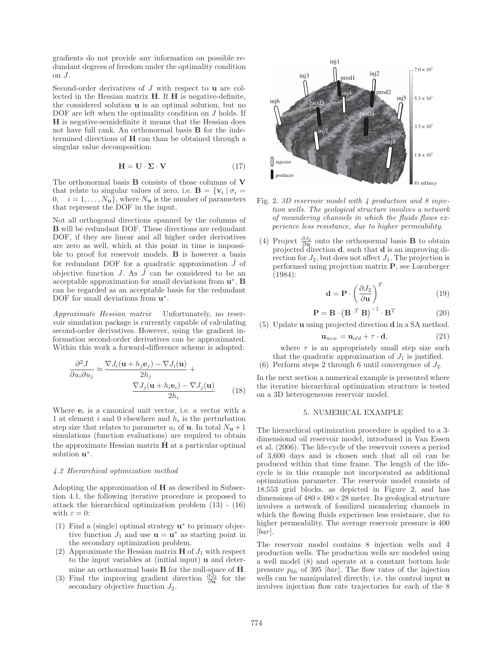gradients do not provide any information on possible redundant degrees of freedom under the optimality condition on J.

Second-order derivatives of J with respect to **u** are collected in the Hessian matrix **H**. If **H** is negative-definite, the considered solution **u** is an optimal solution, but no DOF are left when the optimality condition on J holds. If **H** is negative-semidefinite it means that the Hessian does not have full rank. An orthonormal basis **B** for the indetermined directions of **H** can than be obtained through a singular value decomposition:

$$
\mathbf{H} = \mathbf{U} \cdot \mathbf{\Sigma} \cdot \mathbf{V} \tag{17}
$$

The orthonormal basis **B** consists of those columns of **V** that relate to singular values of zero, i.e.  $\mathbf{B} = {\mathbf{v}_i | \sigma_i = \mathbf{v}_i}$ 0,  $i = 1, ..., N_{\mathbf{u}}$ , where  $N_{\mathbf{u}}$  is the number of parameters that represent the DOF in the input.

Not all orthogonal directions spanned by the columns of **B** will be redundant DOF. These directions are redundant DOF, if they are linear and all higher order derivatives are zero as well, which at this point in time is impossible to proof for reservoir models. **B** is however a basis for redundant DOF for a quadratic approximation  $\hat{J}$  of objective function J. As  $\hat{J}$  can be considered to be an acceptable approximation for small deviations from **u**∗, **B** can be regarded as an acceptable basis for the redundant DOF for small deviations from **u**∗.

Approximate Hessian matrix Unfortunately, no reservoir simulation package is currently capable of calculating second-order derivatives. However, using the gradient information second-order derivatives can be approximated. Within this work a forward-difference scheme is adopted:

$$
\frac{\partial^2 J}{\partial u_i \partial u_j} \approx \frac{\nabla J_i(\mathbf{u} + h_j \mathbf{e}_j) - \nabla J_i(\mathbf{u})}{2h_j} + \frac{\nabla J_j(\mathbf{u} + h_i \mathbf{e}_i) - \nabla J_j(\mathbf{u})}{2h_i}
$$
(18)

Where  $e_i$  is a canonical unit vector, i.e. a vector with a 1 at element  $i$  and 0 elsewhere and  $h_i$  is the perturbation step size that relates to parameter  $u_i$  of **u**. In total  $N_{\mathbf{u}} + 1$ simulations (function evaluations) are required to obtain the approximate Hessian matrix **H** at a particular optimal solution **u**∗.

## 4.2 Hierarchical optimization method

Adopting the approximation of **H** as described in Subsection 4.1, the following iterative procedure is proposed to attack the hierarchical optimization problem (13) - (16) with  $\varepsilon = 0$ :

- (1) Find a (single) optimal strategy **u**<sup>∗</sup> to primary objective function  $J_1$  and use  $\mathbf{u} = \mathbf{u}^*$  as starting point in the secondary optimization problem.
- (2) Approximate the Hessian matrix  $\mathbf{H}$  of  $J_1$  with respect to the input variables at (initial input) **u** and determine an orthonormal basis  $\bf{B}$  for the null-space of  $\hat{\bf H}$ .
- (3) Find the improving gradient direction  $\frac{\partial \mathcal{J}_2}{\partial \mathbf{u}}$  for the secondary objective function  $J_2$ .



- Fig. 2. 3D reservoir model with 4 production and 8 injection wells. The geological structure involves a network of meandering channels in which the fluids flows experience less resistance, due to higher permeability.
- (4) Project ∂J<sup>2</sup> <sup>∂</sup>**<sup>u</sup>** onto the orthonormal basis **B** to obtain projected direction **d**, such that **d** is an improving direction for  $J_2$ , but does not affect  $J_1$ . The projection is performed using projection matrix **P**, see Luenberger (1984):

$$
\mathbf{d} = \mathbf{P} \cdot \left(\frac{\partial J_2}{\partial \mathbf{u}}\right)^T \tag{19}
$$

$$
\mathbf{P} = \mathbf{B} \cdot \left(\mathbf{B} \cdot^T \mathbf{B}\right)^{-1} \cdot \mathbf{B}^T \tag{20}
$$

(5) Update **u** using projected direction **d** in a SA method.

$$
\mathbf{u}_{new} = \mathbf{u}_{old} + \tau \cdot \mathbf{d},\tag{21}
$$

where  $\tau$  is an appropriately small step size such that the quadratic approximation of  $J_1$  is justified.

(6) Perform steps 2 through 6 until convergence of  $J_2$ .

In the next section a numerical example is presented where the iterative hierarchical optimization structure is tested on a 3D heterogeneous reservoir model.

## 5. NUMERICAL EXAMPLE

The hierarchical optimization procedure is applied to a 3 dimensional oil reservoir model, introduced in Van Essen et al. (2006). The life-cycle of the reservoir covers a period of 3,600 days and is chosen such that all oil can be produced within that time frame. The length of the lifecycle is in this example not incorporated as additional optimization parameter. The reservoir model consists of 18,553 grid blocks, as depicted in Figure 2, and has dimensions of  $480 \times 480 \times 28$  meter. Its geological structure involves a network of fossilized meandering channels in which the flowing fluids experience less resistance, due to higher permeability. The average reservoir pressure is 400  $|bar|$ .

The reservoir model contains 8 injection wells and 4 production wells. The production wells are modeled using a well model (8) and operate at a constant bottom hole pressure  $p_{bh}$  of 395 [bar]. The flow rates of the injection wells can be manipulated directly, i.e. the control input **u** involves injection flow rate trajectories for each of the 8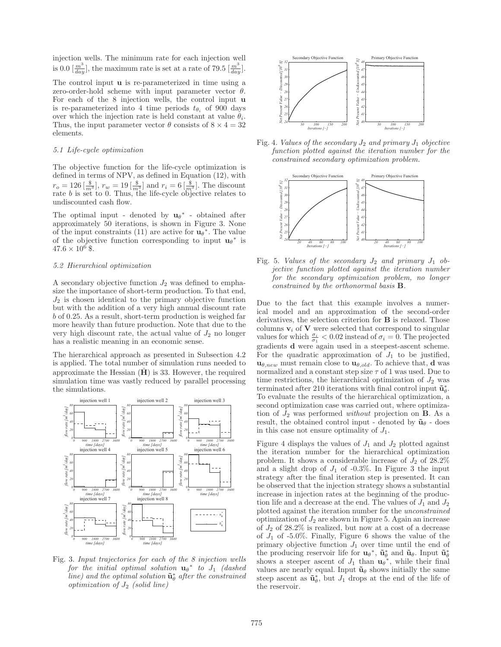injection wells. The minimum rate for each injection well is 0.0  $\left[\frac{m^3}{day}\right]$ , the maximum rate is set at a rate of 79.5  $\left[\frac{m^3}{day}\right]$ .

The control input **u** is re-parameterized in time using a zero-order-hold scheme with input parameter vector  $\theta$ . For each of the 8 injection wells, the control input **u** is re-parameterized into 4 time periods  $t_{\theta_i}$  of 900 days over which the injection rate is held constant at value  $\theta_i$ . Thus, the input parameter vector  $\theta$  consists of  $8 \times 4 = 32$ elements.

### 5.1 Life-cycle optimization

The objective function for the life-cycle optimization is defined in terms of NPV, as defined in Equation (12), with  $r_o = 126 \left[\frac{\$}{m^3}\right]$ ,  $r_w = 19 \left[\frac{\$}{m^3}\right]$  and  $r_i = 6 \left[\frac{\$}{m^3}\right]$ . The discount rate *b* is set to 0. Thus, the life-cycle objective relates to undiscounted cash flow.

The optimal input - denoted by  $\mathbf{u}_{\theta}^*$  - obtained after approximately 50 iterations, is shown in Figure 3. None of the input constraints (11) are active for  $\mathbf{u}_{\theta}^*$ . The value of the objective function corresponding to input  $\mathbf{u}_{\theta}^*$  is  $47.6 \times 10^6$  \$.

# 5.2 Hierarchical optimization

A secondary objective function  $J_2$  was defined to emphasize the importance of short-term production. To that end,  $J_2$  is chosen identical to the primary objective function but with the addition of a very high annual discount rate b of 0.25. As a result, short-term production is weighed far more heavily than future production. Note that due to the very high discount rate, the actual value of  $J_2$  no longer has a realistic meaning in an economic sense.

The hierarchical approach as presented in Subsection 4.2 is applied. The total number of simulation runs needed to approximate the Hessian  $(H)$  is 33. However, the required simulation time was vastly reduced by parallel processing the simulations.



Fig. 3. Input trajectories for each of the 8 injection wells  $for the initial optimal solution$   $\mathbf{u}_{\theta}^*$  to  $J_1$  (dashed line) and the optimal solution  $\tilde{\mathbf{u}}_{\theta}^{*}$  after the constrained  $optimization of J<sub>2</sub> (solid line)$ 



Fig. 4. Values of the secondary  $J_2$  and primary  $J_1$  objective function plotted against the iteration number for the constrained secondary optimization problem.



Fig. 5. Values of the secondary  $J_2$  and primary  $J_1$  objective function plotted against the iteration number for the secondary optimization problem, no longer constrained by the orthonormal basis **B**.

Due to the fact that this example involves a numerical model and an approximation of the second-order derivatives, the selection criterion for **B** is relaxed. Those columns  $v_i$  of  $V$  were selected that correspond to singular values for which  $\frac{\sigma_i}{\sigma_1} < 0.02$  instead of  $\sigma_i = 0$ . The projected gradients **d** were again used in a steepest-ascent scheme. For the quadratic approximation of  $J_1$  to be justified,  $\mathbf{u}_{\theta,new}$  must remain close to  $\mathbf{u}_{\theta,old}$ . To achieve that, **d** was normalized and a constant step size  $\tau$  of 1 was used. Due to time restrictions, the hierarchical optimization of  $J_2$  was terminated after 210 iterations with final control input  $\tilde{\mathbf{u}}_{\theta}^*$ . To evaluate the results of the hierarchical optimization, a second optimization case was carried out, where optimization of  $J_2$  was performed *without* projection on **B**. As a result, the obtained control input - denoted by  $\tilde{\mathbf{u}}_{\theta}$  - does in this case not ensure optimality of  $J_1$ .

Figure 4 displays the values of  $J_1$  and  $J_2$  plotted against the iteration number for the hierarchical optimization problem. It shows a considerable increase of  $J_2$  of 28.2% and a slight drop of  $J_1$  of -0.3%. In Figure 3 the input strategy after the final iteration step is presented. It can be observed that the injection strategy shows a substantial increase in injection rates at the beginning of the production life and a decrease at the end. The values of  $J_1$  and  $J_2$ plotted against the iteration number for the unconstrained optimization of  $J_2$  are shown in Figure 5. Again an increase of  $J_2$  of 28.2% is realized, but now at a cost of a decrease of  $J_1$  of -5.0%. Finally, Figure 6 shows the value of the primary objective function  $J_1$  over time until the end of the producing reservoir life for  $\mathbf{u}_{\theta}^*$ ,  $\tilde{\mathbf{u}}_{\theta}^*$  and  $\tilde{\mathbf{u}}_{\theta}$ . Input  $\tilde{\mathbf{u}}_{\theta}^*$ shows a steeper ascent of  $J_1$  than  $\mathbf{u}_{\theta}^*$ , while their final values are nearly equal. Input  $\tilde{\mathbf{u}}_{\theta}$  shows initially the same steep ascent as  $\tilde{\mathbf{u}}_{\theta}^*$ , but  $J_1$  drops at the end of the life of the reservoir.